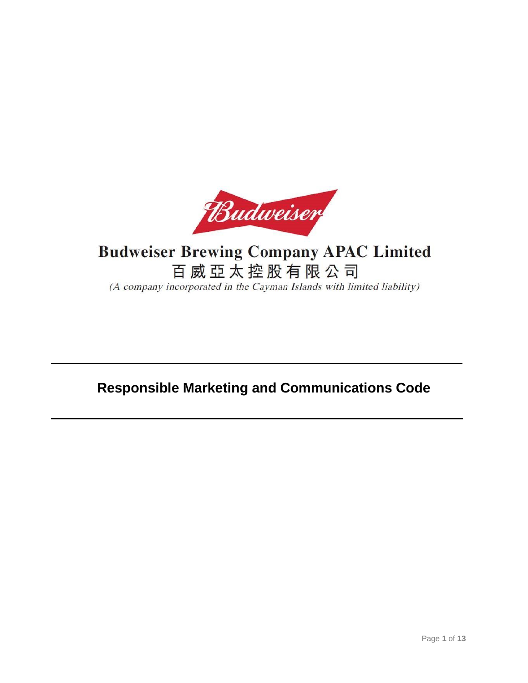

# **Budweiser Brewing Company APAC Limited** 百威亞太控股有限公司 (A company incorporated in the Cayman Islands with limited liability)

# **Responsible Marketing and Communications Code**

Ξ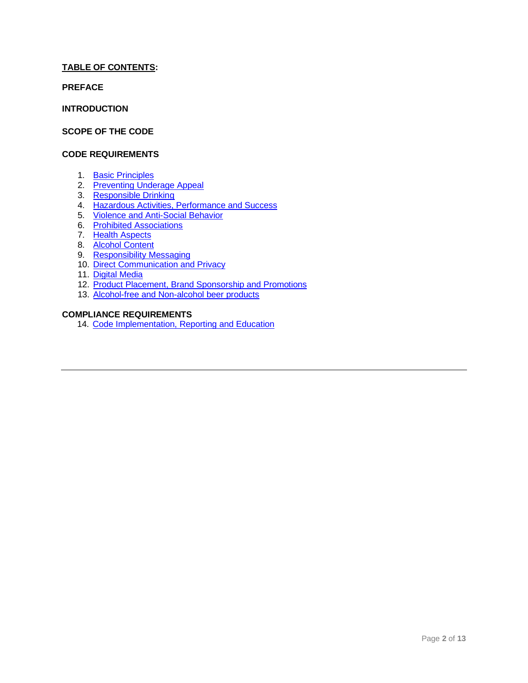# **TABLE OF CONTENTS:**

**PREFACE**

**INTRODUCTION**

# **SCOPE OF THE CODE**

## **CODE REQUIREMENTS**

- 1. [Basic Principles](#page-5-0)
- 2. [Preventing Underage Appeal](#page-5-1)
- 3. [Responsible Drinking](#page-6-0)
- 4. Hazardous Activities, Performance and Success
- 5. [Violence and Anti-Social Behavior](#page-7-0)
- 6. [Prohibited Associations](#page-7-1)
- 7. [Health Aspects](#page-7-2)
- 8. [Alcohol Content](#page-7-3)
- 9. [Responsibility Messaging](#page-7-4)
- 10. [Direct Communication and Privacy](#page-8-0)
- 11. [Digital Media](#page-8-1)
- 12. [Product Placement, Brand Sponsorship and Promotions](#page-9-0)
- 13. [Alcohol-free and Non-alcohol beer](#page-11-0) products

# **COMPLIANCE REQUIREMENTS**

14. [Code Implementation, Reporting and Education](#page-12-0)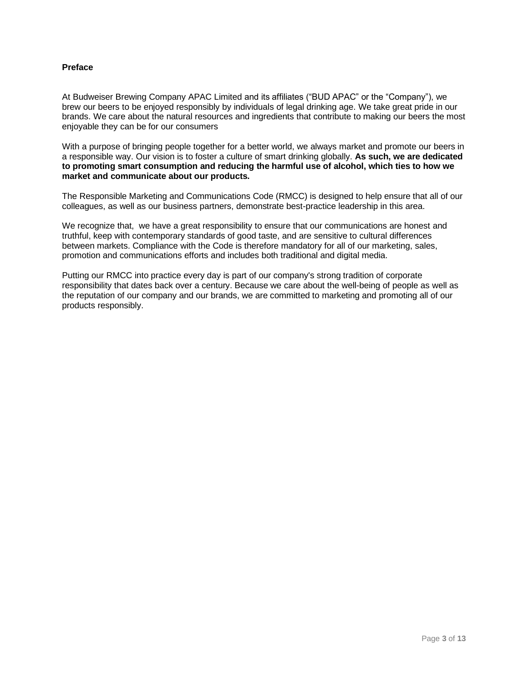## **Preface**

At Budweiser Brewing Company APAC Limited and its affiliates ("BUD APAC" or the "Company"), we brew our beers to be enjoyed responsibly by individuals of legal drinking age. We take great pride in our brands. We care about the natural resources and ingredients that contribute to making our beers the most enjoyable they can be for our consumers

With a purpose of bringing people together for a better world, we always market and promote our beers in a responsible way. Our vision is to foster a culture of smart drinking globally. **As such, we are dedicated to promoting smart consumption and reducing the harmful use of alcohol, which ties to how we market and communicate about our products.**

The Responsible Marketing and Communications Code (RMCC) is designed to help ensure that all of our colleagues, as well as our business partners, demonstrate best-practice leadership in this area.

We recognize that, we have a great responsibility to ensure that our communications are honest and truthful, keep with contemporary standards of good taste, and are sensitive to cultural differences between markets. Compliance with the Code is therefore mandatory for all of our marketing, sales, promotion and communications efforts and includes both traditional and digital media.

Putting our RMCC into practice every day is part of our company's strong tradition of corporate responsibility that dates back over a century. Because we care about the well-being of people as well as the reputation of our company and our brands, we are committed to marketing and promoting all of our products responsibly.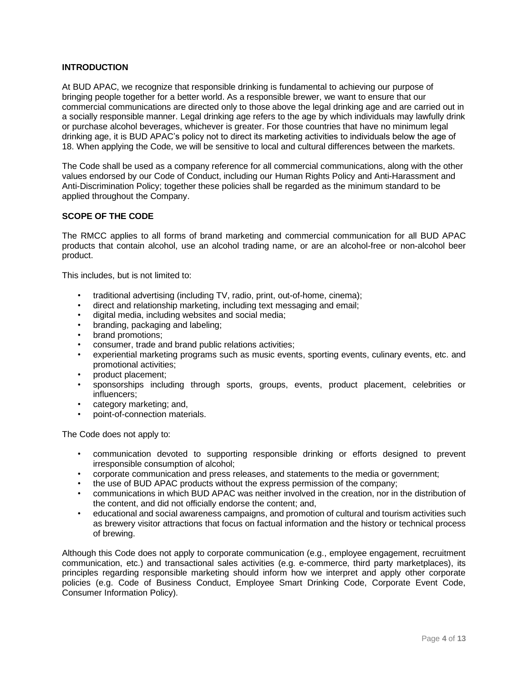## **INTRODUCTION**

At BUD APAC, we recognize that responsible drinking is fundamental to achieving our purpose of bringing people together for a better world. As a responsible brewer, we want to ensure that our commercial communications are directed only to those above the legal drinking age and are carried out in a socially responsible manner. Legal drinking age refers to the age by which individuals may lawfully drink or purchase alcohol beverages, whichever is greater. For those countries that have no minimum legal drinking age, it is BUD APAC's policy not to direct its marketing activities to individuals below the age of 18. When applying the Code, we will be sensitive to local and cultural differences between the markets.

The Code shall be used as a company reference for all commercial communications, along with the other values endorsed by our Code of Conduct, including our Human Rights Policy and Anti-Harassment and Anti-Discrimination Policy; together these policies shall be regarded as the minimum standard to be applied throughout the Company.

# **SCOPE OF THE CODE**

The RMCC applies to all forms of brand marketing and commercial communication for all BUD APAC products that contain alcohol, use an alcohol trading name, or are an alcohol-free or non-alcohol beer product.

This includes, but is not limited to:

- traditional advertising (including TV, radio, print, out-of-home, cinema);
- direct and relationship marketing, including text messaging and email;
- digital media, including websites and social media;
- branding, packaging and labeling;
- brand promotions;
- consumer, trade and brand public relations activities;
- experiential marketing programs such as music events, sporting events, culinary events, etc. and promotional activities;
- product placement;
- sponsorships including through sports, groups, events, product placement, celebrities or influencers;
- category marketing; and,
- point-of-connection materials.

The Code does not apply to:

- communication devoted to supporting responsible drinking or efforts designed to prevent irresponsible consumption of alcohol;
- corporate communication and press releases, and statements to the media or government;
- the use of BUD APAC products without the express permission of the company;
- communications in which BUD APAC was neither involved in the creation, nor in the distribution of the content, and did not officially endorse the content; and,
- educational and social awareness campaigns, and promotion of cultural and tourism activities such as brewery visitor attractions that focus on factual information and the history or technical process of brewing.

Although this Code does not apply to corporate communication (e.g., employee engagement, recruitment communication, etc.) and transactional sales activities (e.g. e-commerce, third party marketplaces), its principles regarding responsible marketing should inform how we interpret and apply other corporate policies (e.g. Code of Business Conduct, Employee Smart Drinking Code, Corporate Event Code, Consumer Information Policy).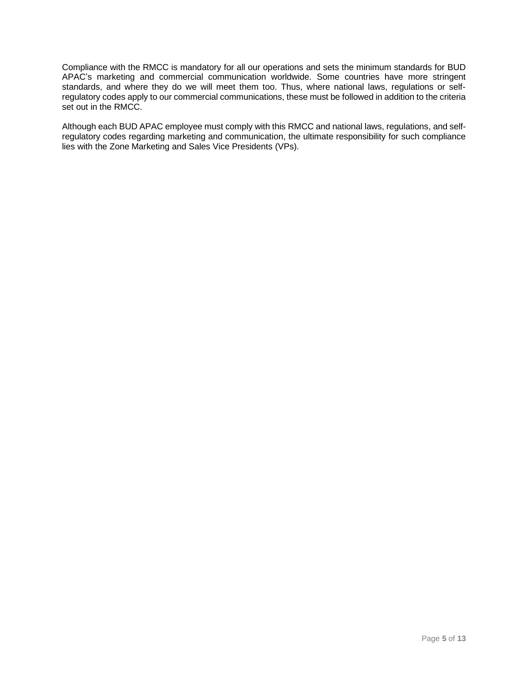Compliance with the RMCC is mandatory for all our operations and sets the minimum standards for BUD APAC's marketing and commercial communication worldwide. Some countries have more stringent standards, and where they do we will meet them too. Thus, where national laws, regulations or selfregulatory codes apply to our commercial communications, these must be followed in addition to the criteria set out in the RMCC.

Although each BUD APAC employee must comply with this RMCC and national laws, regulations, and selfregulatory codes regarding marketing and communication, the ultimate responsibility for such compliance lies with the Zone Marketing and Sales Vice Presidents (VPs).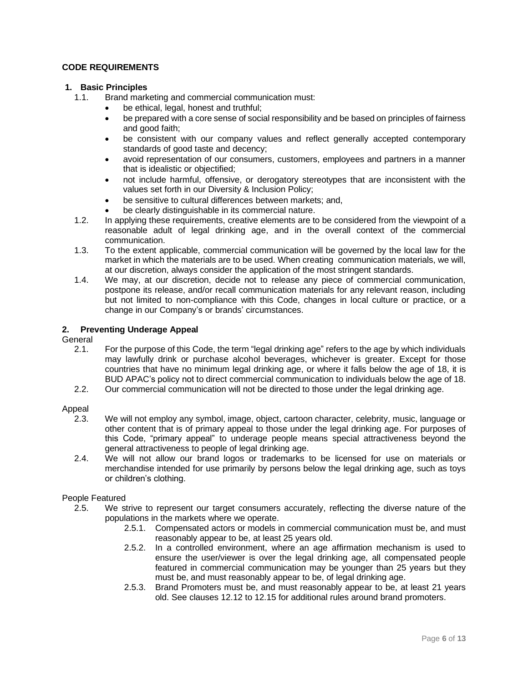## **CODE REQUIREMENTS**

## <span id="page-5-0"></span>**1. Basic Principles**

- 1.1. Brand marketing and commercial communication must:
	- be ethical, legal, honest and truthful;
	- be prepared with a core sense of social responsibility and be based on principles of fairness and good faith;
	- be consistent with our company values and reflect generally accepted contemporary standards of good taste and decency;
	- avoid representation of our consumers, customers, employees and partners in a manner that is idealistic or objectified;
	- not include harmful, offensive, or derogatory stereotypes that are inconsistent with the values set forth in our Diversity & Inclusion Policy;
	- be sensitive to cultural differences between markets; and,
	- be clearly distinguishable in its commercial nature.
- 1.2. In applying these requirements, creative elements are to be considered from the viewpoint of a reasonable adult of legal drinking age, and in the overall context of the commercial communication.
- 1.3. To the extent applicable, commercial communication will be governed by the local law for the market in which the materials are to be used. When creating communication materials, we will, at our discretion, always consider the application of the most stringent standards.
- 1.4. We may, at our discretion, decide not to release any piece of commercial communication, postpone its release, and/or recall communication materials for any relevant reason, including but not limited to non-compliance with this Code, changes in local culture or practice, or a change in our Company's or brands' circumstances.

# <span id="page-5-1"></span>**2. Preventing Underage Appeal**

General

- 2.1. For the purpose of this Code, the term "legal drinking age" refers to the age by which individuals may lawfully drink or purchase alcohol beverages, whichever is greater. Except for those countries that have no minimum legal drinking age, or where it falls below the age of 18, it is BUD APAC's policy not to direct commercial communication to individuals below the age of 18.
- 2.2. Our commercial communication will not be directed to those under the legal drinking age.

#### Appeal

- 2.3. We will not employ any symbol, image, object, cartoon character, celebrity, music, language or other content that is of primary appeal to those under the legal drinking age. For purposes of this Code, "primary appeal" to underage people means special attractiveness beyond the general attractiveness to people of legal drinking age.
- 2.4. We will not allow our brand logos or trademarks to be licensed for use on materials or merchandise intended for use primarily by persons below the legal drinking age, such as toys or children's clothing.

#### People Featured

- 2.5. We strive to represent our target consumers accurately, reflecting the diverse nature of the populations in the markets where we operate.
	- 2.5.1. Compensated actors or models in commercial communication must be, and must reasonably appear to be, at least 25 years old.
	- 2.5.2. In a controlled environment, where an age affirmation mechanism is used to ensure the user/viewer is over the legal drinking age, all compensated people featured in commercial communication may be younger than 25 years but they must be, and must reasonably appear to be, of legal drinking age.
	- 2.5.3. Brand Promoters must be, and must reasonably appear to be, at least 21 years old. See clauses 12.12 to 12.15 for additional rules around brand promoters.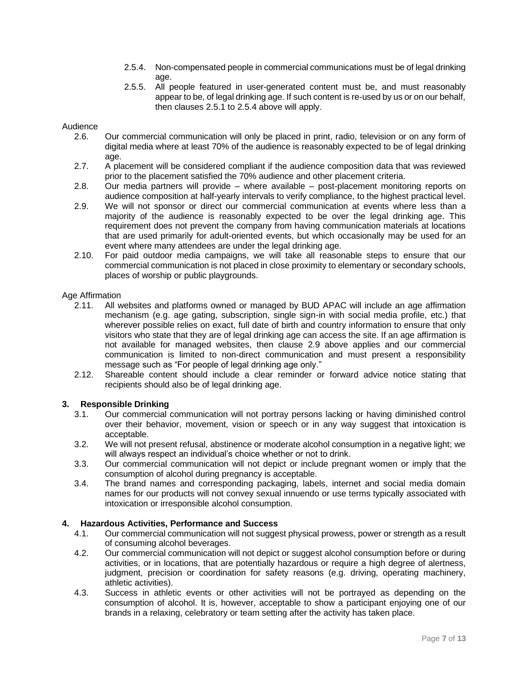- 2.5.4. Non-compensated people in commercial communications must be of legal drinking age.
- 2.5.5. All people featured in user-generated content must be, and must reasonably appear to be, of legal drinking age. If such content is re-used by us or on our behalf, then clauses 2.5.1 to 2.5.4 above will apply.

## Audience

- 2.6. Our commercial communication will only be placed in print, radio, television or on any form of digital media where at least 70% of the audience is reasonably expected to be of legal drinking age.
- 2.7. A placement will be considered compliant if the audience composition data that was reviewed prior to the placement satisfied the 70% audience and other placement criteria.
- 2.8. Our media partners will provide where available post-placement monitoring reports on audience composition at half-yearly intervals to verify compliance, to the highest practical level.
- 2.9. We will not sponsor or direct our commercial communication at events where less than a majority of the audience is reasonably expected to be over the legal drinking age. This requirement does not prevent the company from having communication materials at locations that are used primarily for adult-oriented events, but which occasionally may be used for an event where many attendees are under the legal drinking age.
- 2.10. For paid outdoor media campaigns, we will take all reasonable steps to ensure that our commercial communication is not placed in close proximity to elementary or secondary schools, places of worship or public playgrounds.

#### Age Affirmation

- 2.11. All websites and platforms owned or managed by BUD APAC will include an age affirmation mechanism (e.g. age gating, subscription, single sign-in with social media profile, etc.) that wherever possible relies on exact, full date of birth and country information to ensure that only visitors who state that they are of legal drinking age can access the site. If an age affirmation is not available for managed websites, then clause 2.9 above applies and our commercial communication is limited to non-direct communication and must present a responsibility message such as "For people of legal drinking age only."
- 2.12. Shareable content should include a clear reminder or forward advice notice stating that recipients should also be of legal drinking age.

# <span id="page-6-0"></span>**3. Responsible Drinking**

- 3.1. Our commercial communication will not portray persons lacking or having diminished control over their behavior, movement, vision or speech or in any way suggest that intoxication is acceptable.
- 3.2. We will not present refusal, abstinence or moderate alcohol consumption in a negative light; we will always respect an individual's choice whether or not to drink.
- 3.3. Our commercial communication will not depict or include pregnant women or imply that the consumption of alcohol during pregnancy is acceptable.
- 3.4. The brand names and corresponding packaging, labels, internet and social media domain names for our products will not convey sexual innuendo or use terms typically associated with intoxication or irresponsible alcohol consumption.

## **4. Hazardous Activities, Performance and Success**

- 4.1. Our commercial communication will not suggest physical prowess, power or strength as a result of consuming alcohol beverages.
- 4.2. Our commercial communication will not depict or suggest alcohol consumption before or during activities, or in locations, that are potentially hazardous or require a high degree of alertness, judgment, precision or coordination for safety reasons (e.g. driving, operating machinery, athletic activities).
- 4.3. Success in athletic events or other activities will not be portrayed as depending on the consumption of alcohol. It is, however, acceptable to show a participant enjoying one of our brands in a relaxing, celebratory or team setting after the activity has taken place.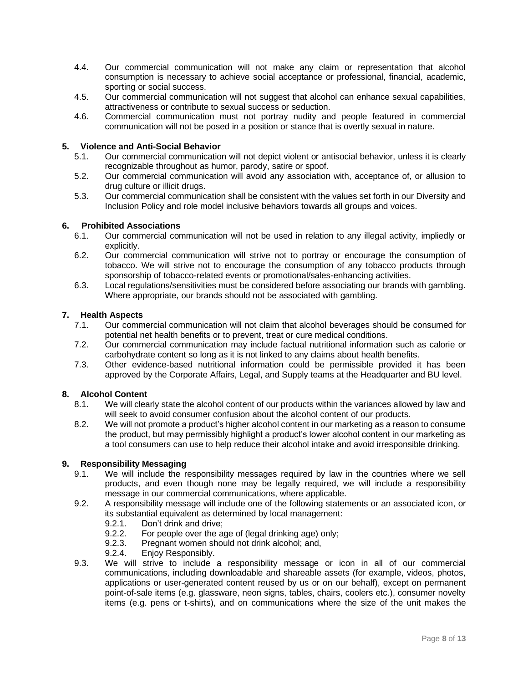- 4.4. Our commercial communication will not make any claim or representation that alcohol consumption is necessary to achieve social acceptance or professional, financial, academic, sporting or social success.
- 4.5. Our commercial communication will not suggest that alcohol can enhance sexual capabilities, attractiveness or contribute to sexual success or seduction.
- 4.6. Commercial communication must not portray nudity and people featured in commercial communication will not be posed in a position or stance that is overtly sexual in nature.

## <span id="page-7-0"></span>**5. Violence and Anti-Social Behavior**

- 5.1. Our commercial communication will not depict violent or antisocial behavior, unless it is clearly recognizable throughout as humor, parody, satire or spoof.
- 5.2. Our commercial communication will avoid any association with, acceptance of, or allusion to drug culture or illicit drugs.
- 5.3. Our commercial communication shall be consistent with the values set forth in our Diversity and Inclusion Policy and role model inclusive behaviors towards all groups and voices.

#### <span id="page-7-1"></span>**6. Prohibited Associations**

- 6.1. Our commercial communication will not be used in relation to any illegal activity, impliedly or explicitly.
- 6.2. Our commercial communication will strive not to portray or encourage the consumption of tobacco. We will strive not to encourage the consumption of any tobacco products through sponsorship of tobacco-related events or promotional/sales-enhancing activities.
- 6.3. Local regulations/sensitivities must be considered before associating our brands with gambling. Where appropriate, our brands should not be associated with gambling.

# <span id="page-7-2"></span>**7. Health Aspects**

- 7.1. Our commercial communication will not claim that alcohol beverages should be consumed for potential net health benefits or to prevent, treat or cure medical conditions.
- 7.2. Our commercial communication may include factual nutritional information such as calorie or carbohydrate content so long as it is not linked to any claims about health benefits.
- 7.3. Other evidence-based nutritional information could be permissible provided it has been approved by the Corporate Affairs, Legal, and Supply teams at the Headquarter and BU level.

#### <span id="page-7-3"></span>**8. Alcohol Content**

- 8.1. We will clearly state the alcohol content of our products within the variances allowed by law and will seek to avoid consumer confusion about the alcohol content of our products.
- 8.2. We will not promote a product's higher alcohol content in our marketing as a reason to consume the product, but may permissibly highlight a product's lower alcohol content in our marketing as a tool consumers can use to help reduce their alcohol intake and avoid irresponsible drinking.

### <span id="page-7-4"></span>**9. Responsibility Messaging**

- 9.1. We will include the responsibility messages required by law in the countries where we sell products, and even though none may be legally required, we will include a responsibility message in our commercial communications, where applicable.
- 9.2. A responsibility message will include one of the following statements or an associated icon, or its substantial equivalent as determined by local management:
	- 9.2.1. Don't drink and drive;
	- 9.2.2. For people over the age of (legal drinking age) only;
	- 9.2.3. Pregnant women should not drink alcohol; and,
	- 9.2.4. Enjoy Responsibly.
- 9.3. We will strive to include a responsibility message or icon in all of our commercial communications, including downloadable and shareable assets (for example, videos, photos, applications or user-generated content reused by us or on our behalf), except on permanent point-of-sale items (e.g. glassware, neon signs, tables, chairs, coolers etc.), consumer novelty items (e.g. pens or t-shirts), and on communications where the size of the unit makes the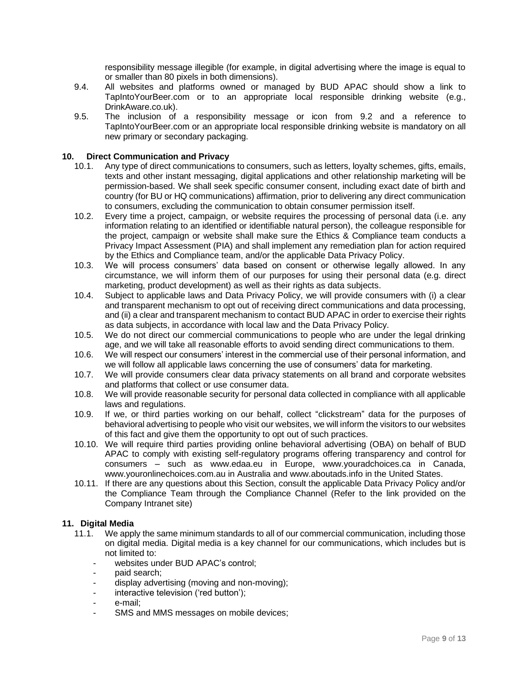responsibility message illegible (for example, in digital advertising where the image is equal to or smaller than 80 pixels in both dimensions).

- 9.4. All websites and platforms owned or managed by BUD APAC should show a link to TapIntoYourBeer.com or to an appropriate local responsible drinking website (e.g., DrinkAware.co.uk).
- 9.5. The inclusion of a responsibility message or icon from 9.2 and a reference to TapIntoYourBeer.com or an appropriate local responsible drinking website is mandatory on all new primary or secondary packaging.

# <span id="page-8-0"></span>**10. Direct Communication and Privacy**

- 10.1. Any type of direct communications to consumers, such as letters, loyalty schemes, gifts, emails, texts and other instant messaging, digital applications and other relationship marketing will be permission-based. We shall seek specific consumer consent, including exact date of birth and country (for BU or HQ communications) affirmation, prior to delivering any direct communication to consumers, excluding the communication to obtain consumer permission itself.
- 10.2. Every time a project, campaign, or website requires the processing of personal data (i.e. any information relating to an identified or identifiable natural person), the colleague responsible for the project, campaign or website shall make sure the Ethics & Compliance team conducts a Privacy Impact Assessment (PIA) and shall implement any remediation plan for action required by the Ethics and Compliance team, and/or the applicable Data Privacy Policy.
- 10.3. We will process consumers' data based on consent or otherwise legally allowed. In any circumstance, we will inform them of our purposes for using their personal data (e.g. direct marketing, product development) as well as their rights as data subjects.
- 10.4. Subject to applicable laws and Data Privacy Policy, we will provide consumers with (i) a clear and transparent mechanism to opt out of receiving direct communications and data processing, and (ii) a clear and transparent mechanism to contact BUD APAC in order to exercise their rights as data subjects, in accordance with local law and the Data Privacy Policy.
- 10.5. We do not direct our commercial communications to people who are under the legal drinking age, and we will take all reasonable efforts to avoid sending direct communications to them.
- 10.6. We will respect our consumers' interest in the commercial use of their personal information, and we will follow all applicable laws concerning the use of consumers' data for marketing.
- 10.7. We will provide consumers clear data privacy statements on all brand and corporate websites and platforms that collect or use consumer data.
- 10.8. We will provide reasonable security for personal data collected in compliance with all applicable laws and regulations.
- 10.9. If we, or third parties working on our behalf, collect "clickstream" data for the purposes of behavioral advertising to people who visit our websites, we will inform the visitors to our websites of this fact and give them the opportunity to opt out of such practices.
- 10.10. We will require third parties providing online behavioral advertising (OBA) on behalf of BUD APAC to comply with existing self-regulatory programs offering transparency and control for consumers – such as www.edaa.eu in Europe, www.youradchoices.ca in Canada, www.youronlinechoices.com.au in Australia and www.aboutads.info in the United States.
- 10.11. If there are any questions about this Section, consult the applicable Data Privacy Policy and/or the Compliance Team through the Compliance Channel ([Refer to the link provided on the](https://compliancechannelglobal.ab-inbev.com/)  [Company Intranet site](https://compliancechannelglobal.ab-inbev.com/))

#### <span id="page-8-1"></span>**11. Digital Media**

- 11.1. We apply the same minimum standards to all of our commercial communication, including those on digital media. Digital media is a key channel for our communications, which includes but is not limited to:
	- websites under BUD APAC's control;
	- paid search;
	- display advertising (moving and non-moving);
	- interactive television ('red button');
	- e-mail;
	- SMS and MMS messages on mobile devices;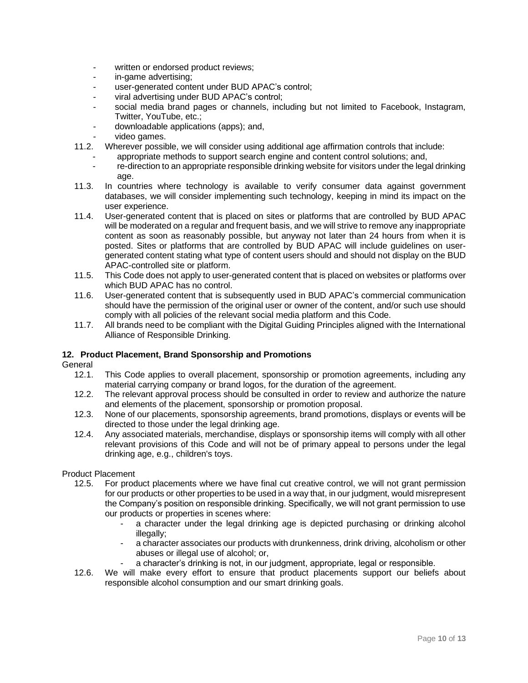- written or endorsed product reviews;
- in-game advertising;
- user-generated content under BUD APAC's control:
- viral advertising under BUD APAC's control;
- social media brand pages or channels, including but not limited to Facebook, Instagram, Twitter, YouTube, etc.;
- downloadable applications (apps); and,
- video games.
- 11.2. Wherever possible, we will consider using additional age affirmation controls that include:
	- appropriate methods to support search engine and content control solutions; and,
	- re-direction to an appropriate responsible drinking website for visitors under the legal drinking age.
- 11.3. In countries where technology is available to verify consumer data against government databases, we will consider implementing such technology, keeping in mind its impact on the user experience.
- 11.4. User-generated content that is placed on sites or platforms that are controlled by BUD APAC will be moderated on a regular and frequent basis, and we will strive to remove any inappropriate content as soon as reasonably possible, but anyway not later than 24 hours from when it is posted. Sites or platforms that are controlled by BUD APAC will include guidelines on usergenerated content stating what type of content users should and should not display on the BUD APAC-controlled site or platform.
- 11.5. This Code does not apply to user-generated content that is placed on websites or platforms over which BUD APAC has no control.
- 11.6. User-generated content that is subsequently used in BUD APAC's commercial communication should have the permission of the original user or owner of the content, and/or such use should comply with all policies of the relevant social media platform and this Code.
- 11.7. All brands need to be compliant with the Digital Guiding Principles aligned with the International Alliance of Responsible Drinking.

#### <span id="page-9-0"></span>**12. Product Placement, Brand Sponsorship and Promotions**

General<br>12.1.

- This Code applies to overall placement, sponsorship or promotion agreements, including any material carrying company or brand logos, for the duration of the agreement.
- 12.2. The relevant approval process should be consulted in order to review and authorize the nature and elements of the placement, sponsorship or promotion proposal.
- 12.3. None of our placements, sponsorship agreements, brand promotions, displays or events will be directed to those under the legal drinking age.
- 12.4. Any associated materials, merchandise, displays or sponsorship items will comply with all other relevant provisions of this Code and will not be of primary appeal to persons under the legal drinking age, e.g., children's toys.

#### Product Placement

- 12.5. For product placements where we have final cut creative control, we will not grant permission for our products or other properties to be used in a way that, in our judgment, would misrepresent the Company's position on responsible drinking. Specifically, we will not grant permission to use our products or properties in scenes where:
	- a character under the legal drinking age is depicted purchasing or drinking alcohol illegally;
	- a character associates our products with drunkenness, drink driving, alcoholism or other abuses or illegal use of alcohol; or,
	- a character's drinking is not, in our judgment, appropriate, legal or responsible.
- 12.6. We will make every effort to ensure that product placements support our beliefs about responsible alcohol consumption and our smart drinking goals.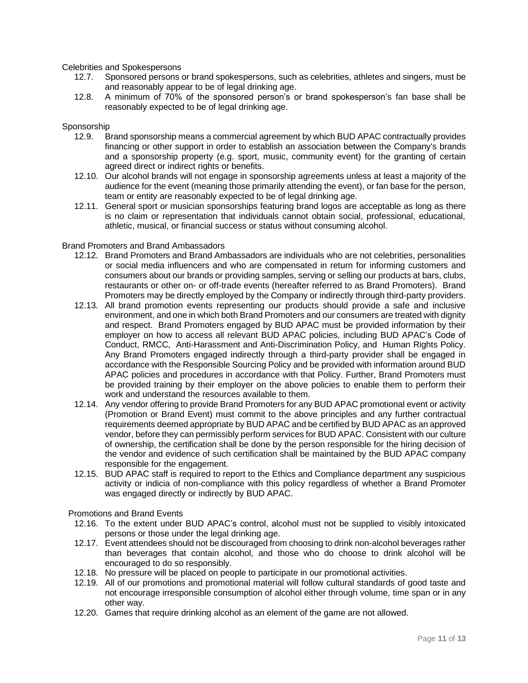Celebrities and Spokespersons

- 12.7. Sponsored persons or brand spokespersons, such as celebrities, athletes and singers, must be and reasonably appear to be of legal drinking age.
- 12.8. A minimum of 70% of the sponsored person's or brand spokesperson's fan base shall be reasonably expected to be of legal drinking age.

#### Sponsorship

- 12.9. Brand sponsorship means a commercial agreement by which BUD APAC contractually provides financing or other support in order to establish an association between the Company's brands and a sponsorship property (e.g. sport, music, community event) for the granting of certain agreed direct or indirect rights or benefits.
- 12.10. Our alcohol brands will not engage in sponsorship agreements unless at least a majority of the audience for the event (meaning those primarily attending the event), or fan base for the person, team or entity are reasonably expected to be of legal drinking age.
- 12.11. General sport or musician sponsorships featuring brand logos are acceptable as long as there is no claim or representation that individuals cannot obtain social, professional, educational, athletic, musical, or financial success or status without consuming alcohol.

#### Brand Promoters and Brand Ambassadors

- 12.12. Brand Promoters and Brand Ambassadors are individuals who are not celebrities, personalities or social media influencers and who are compensated in return for informing customers and consumers about our brands or providing samples, serving or selling our products at bars, clubs, restaurants or other on- or off-trade events (hereafter referred to as Brand Promoters). Brand Promoters may be directly employed by the Company or indirectly through third-party providers.
- 12.13. All brand promotion events representing our products should provide a safe and inclusive environment, and one in which both Brand Promoters and our consumers are treated with dignity and respect. Brand Promoters engaged by BUD APAC must be provided information by their employer on how to access all relevant BUD APAC policies, including BUD APAC's Code of Conduct, RMCC, Anti-Harassment and Anti-Discrimination Policy, and Human Rights Policy. Any Brand Promoters engaged indirectly through a third-party provider shall be engaged in accordance with the Responsible Sourcing Policy and be provided with information around BUD APAC policies and procedures in accordance with that Policy. Further, Brand Promoters must be provided training by their employer on the above policies to enable them to perform their work and understand the resources available to them.
- 12.14. Any vendor offering to provide Brand Promoters for any BUD APAC promotional event or activity (Promotion or Brand Event) must commit to the above principles and any further contractual requirements deemed appropriate by BUD APAC and be certified by BUD APAC as an approved vendor, before they can permissibly perform services for BUD APAC. Consistent with our culture of ownership, the certification shall be done by the person responsible for the hiring decision of the vendor and evidence of such certification shall be maintained by the BUD APAC company responsible for the engagement.
- 12.15. BUD APAC staff is required to report to the Ethics and Compliance department any suspicious activity or indicia of non-compliance with this policy regardless of whether a Brand Promoter was engaged directly or indirectly by BUD APAC.

Promotions and Brand Events

- 12.16. To the extent under BUD APAC's control, alcohol must not be supplied to visibly intoxicated persons or those under the legal drinking age.
- 12.17. Event attendees should not be discouraged from choosing to drink non-alcohol beverages rather than beverages that contain alcohol, and those who do choose to drink alcohol will be encouraged to do so responsibly.
- 12.18. No pressure will be placed on people to participate in our promotional activities.
- 12.19. All of our promotions and promotional material will follow cultural standards of good taste and not encourage irresponsible consumption of alcohol either through volume, time span or in any other way.
- 12.20. Games that require drinking alcohol as an element of the game are not allowed.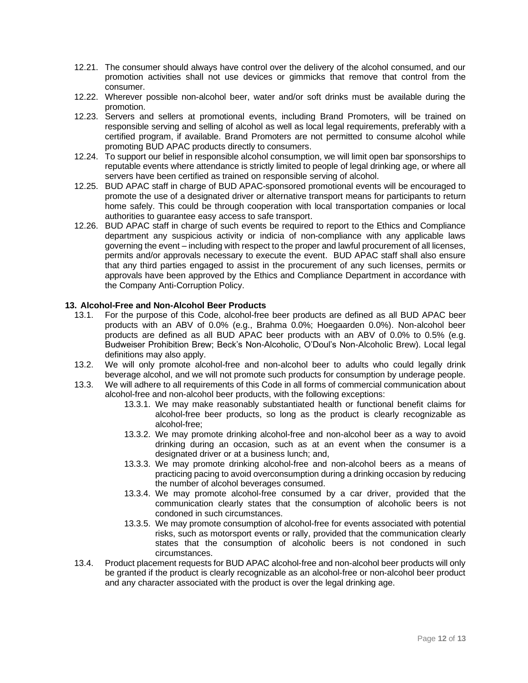- 12.21. The consumer should always have control over the delivery of the alcohol consumed, and our promotion activities shall not use devices or gimmicks that remove that control from the consumer.
- 12.22. Wherever possible non-alcohol beer, water and/or soft drinks must be available during the promotion.
- 12.23. Servers and sellers at promotional events, including Brand Promoters, will be trained on responsible serving and selling of alcohol as well as local legal requirements, preferably with a certified program, if available. Brand Promoters are not permitted to consume alcohol while promoting BUD APAC products directly to consumers.
- 12.24. To support our belief in responsible alcohol consumption, we will limit open bar sponsorships to reputable events where attendance is strictly limited to people of legal drinking age, or where all servers have been certified as trained on responsible serving of alcohol.
- 12.25. BUD APAC staff in charge of BUD APAC-sponsored promotional events will be encouraged to promote the use of a designated driver or alternative transport means for participants to return home safely. This could be through cooperation with local transportation companies or local authorities to guarantee easy access to safe transport.
- 12.26. BUD APAC staff in charge of such events be required to report to the Ethics and Compliance department any suspicious activity or indicia of non-compliance with any applicable laws governing the event – including with respect to the proper and lawful procurement of all licenses, permits and/or approvals necessary to execute the event. BUD APAC staff shall also ensure that any third parties engaged to assist in the procurement of any such licenses, permits or approvals have been approved by the Ethics and Compliance Department in accordance with the Company Anti-Corruption Policy.

# **13. Alcohol-Free and Non-Alcohol Beer Products**

- 13.1. For the purpose of this Code, alcohol-free beer products are defined as all BUD APAC beer products with an ABV of 0.0% (e.g., Brahma 0.0%; Hoegaarden 0.0%). Non-alcohol beer products are defined as all BUD APAC beer products with an ABV of 0.0% to 0.5% (e.g. Budweiser Prohibition Brew; Beck's Non-Alcoholic, O'Doul's Non-Alcoholic Brew). Local legal definitions may also apply.
- <span id="page-11-0"></span>13.2. We will only promote alcohol-free and non-alcohol beer to adults who could legally drink beverage alcohol, and we will not promote such products for consumption by underage people.
- 13.3. We will adhere to all requirements of this Code in all forms of commercial communication about alcohol-free and non-alcohol beer products, with the following exceptions:
	- 13.3.1. We may make reasonably substantiated health or functional benefit claims for alcohol-free beer products, so long as the product is clearly recognizable as alcohol-free;
	- 13.3.2. We may promote drinking alcohol-free and non-alcohol beer as a way to avoid drinking during an occasion, such as at an event when the consumer is a designated driver or at a business lunch; and,
	- 13.3.3. We may promote drinking alcohol-free and non-alcohol beers as a means of practicing pacing to avoid overconsumption during a drinking occasion by reducing the number of alcohol beverages consumed.
	- 13.3.4. We may promote alcohol-free consumed by a car driver, provided that the communication clearly states that the consumption of alcoholic beers is not condoned in such circumstances.
	- 13.3.5. We may promote consumption of alcohol-free for events associated with potential risks, such as motorsport events or rally, provided that the communication clearly states that the consumption of alcoholic beers is not condoned in such circumstances.
- 13.4. Product placement requests for BUD APAC alcohol-free and non-alcohol beer products will only be granted if the product is clearly recognizable as an alcohol-free or non-alcohol beer product and any character associated with the product is over the legal drinking age.